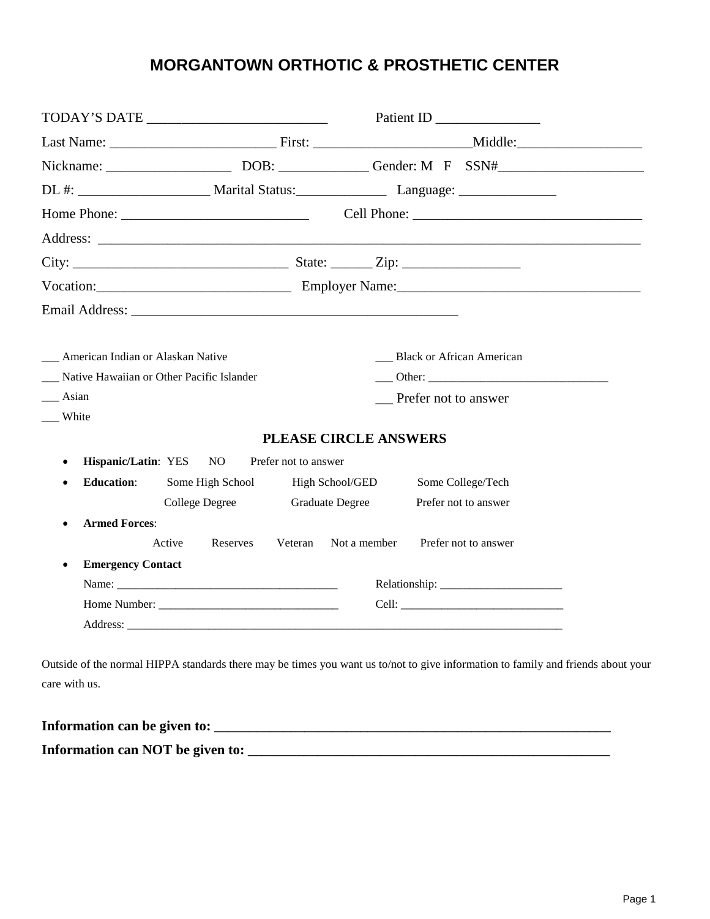# **MORGANTOWN ORTHOTIC & PROSTHETIC CENTER**

|                                       |                                           |                              | Patient ID _______________                                                                                                                                                                                                     |  |  |
|---------------------------------------|-------------------------------------------|------------------------------|--------------------------------------------------------------------------------------------------------------------------------------------------------------------------------------------------------------------------------|--|--|
|                                       |                                           |                              |                                                                                                                                                                                                                                |  |  |
|                                       |                                           |                              |                                                                                                                                                                                                                                |  |  |
|                                       |                                           |                              |                                                                                                                                                                                                                                |  |  |
|                                       |                                           |                              |                                                                                                                                                                                                                                |  |  |
|                                       |                                           |                              |                                                                                                                                                                                                                                |  |  |
|                                       |                                           |                              |                                                                                                                                                                                                                                |  |  |
|                                       |                                           |                              | Vocation: Contact Contact Contact Contact Contact Contact Contact Contact Contact Contact Contact Contact Contact Contact Contact Contact Contact Contact Contact Contact Contact Contact Contact Contact Contact Contact Cont |  |  |
|                                       |                                           |                              |                                                                                                                                                                                                                                |  |  |
|                                       |                                           |                              |                                                                                                                                                                                                                                |  |  |
| __ American Indian or Alaskan Native  |                                           |                              | Black or African American                                                                                                                                                                                                      |  |  |
|                                       | Native Hawaiian or Other Pacific Islander |                              |                                                                                                                                                                                                                                |  |  |
| Asian                                 |                                           |                              | <b>Prefer not to answer</b>                                                                                                                                                                                                    |  |  |
| White                                 |                                           |                              |                                                                                                                                                                                                                                |  |  |
|                                       |                                           | <b>PLEASE CIRCLE ANSWERS</b> |                                                                                                                                                                                                                                |  |  |
| $\bullet$                             | Hispanic/Latin: YES NO                    | Prefer not to answer         |                                                                                                                                                                                                                                |  |  |
| <b>Education:</b><br>$\bullet$        | Some High School                          | High School/GED              | Some College/Tech                                                                                                                                                                                                              |  |  |
|                                       | College Degree                            | <b>Graduate Degree</b>       | Prefer not to answer                                                                                                                                                                                                           |  |  |
| <b>Armed Forces:</b>                  |                                           |                              |                                                                                                                                                                                                                                |  |  |
|                                       | Active<br>Reserves                        | Veteran Not a member         | Prefer not to answer                                                                                                                                                                                                           |  |  |
| <b>Emergency Contact</b><br>$\bullet$ |                                           |                              |                                                                                                                                                                                                                                |  |  |
|                                       |                                           |                              |                                                                                                                                                                                                                                |  |  |
|                                       |                                           |                              |                                                                                                                                                                                                                                |  |  |
|                                       |                                           |                              |                                                                                                                                                                                                                                |  |  |

care with us.

| Information can be given to:     |  |
|----------------------------------|--|
| Information can NOT be given to: |  |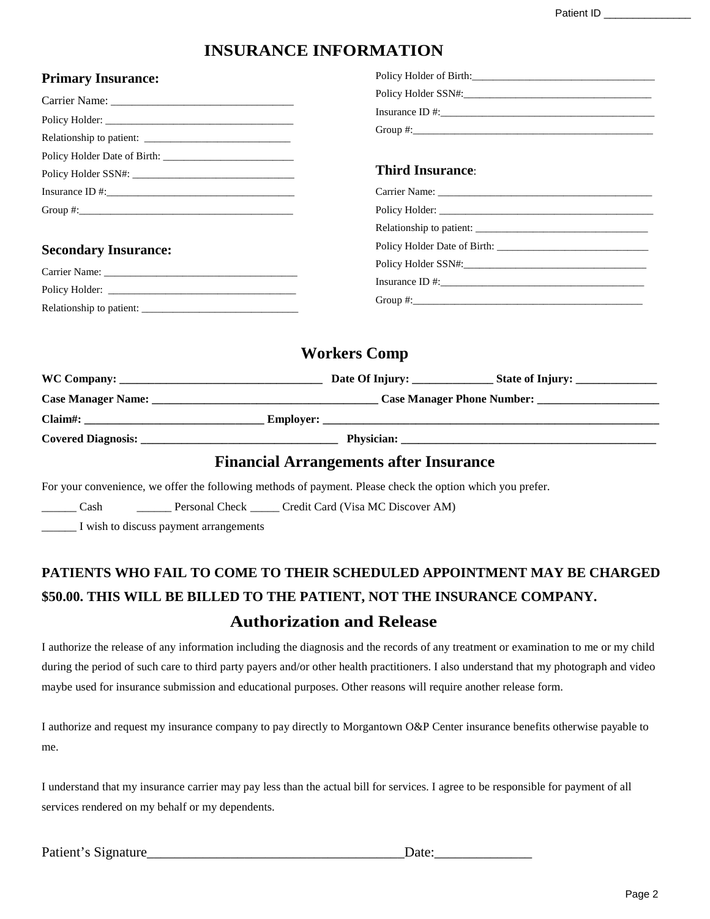## **INSURANCE INFORMATION**

Policy Holder of Birth:

#### **Primary Insurance:**

| Carrier Name:                                                                                                                                                                                                                                                                                          |                              |  |
|--------------------------------------------------------------------------------------------------------------------------------------------------------------------------------------------------------------------------------------------------------------------------------------------------------|------------------------------|--|
|                                                                                                                                                                                                                                                                                                        |                              |  |
|                                                                                                                                                                                                                                                                                                        |                              |  |
|                                                                                                                                                                                                                                                                                                        |                              |  |
|                                                                                                                                                                                                                                                                                                        | <b>Third Insurance:</b>      |  |
|                                                                                                                                                                                                                                                                                                        |                              |  |
| Group #: $\frac{1}{2}$ = $\frac{1}{2}$ = $\frac{1}{2}$ = $\frac{1}{2}$ = $\frac{1}{2}$ = $\frac{1}{2}$ = $\frac{1}{2}$ = $\frac{1}{2}$ = $\frac{1}{2}$ = $\frac{1}{2}$ = $\frac{1}{2}$ = $\frac{1}{2}$ = $\frac{1}{2}$ = $\frac{1}{2}$ = $\frac{1}{2}$ = $\frac{1}{2}$ = $\frac{1}{2}$ = $\frac{1}{2}$ |                              |  |
|                                                                                                                                                                                                                                                                                                        |                              |  |
| <b>Secondary Insurance:</b>                                                                                                                                                                                                                                                                            | Policy Holder Date of Birth: |  |
|                                                                                                                                                                                                                                                                                                        |                              |  |
|                                                                                                                                                                                                                                                                                                        |                              |  |
| Relationship to patient:                                                                                                                                                                                                                                                                               |                              |  |

### **Workers Comp**

|                                                                                                                                                                                                                                | Date Of Injury: ______________<br><b>State of Injury:</b> _______________                                                                                                                                                           |
|--------------------------------------------------------------------------------------------------------------------------------------------------------------------------------------------------------------------------------|-------------------------------------------------------------------------------------------------------------------------------------------------------------------------------------------------------------------------------------|
| Case Manager Name: 1986. [19] Manager Name: 1986. [19] Manager Name: 1986. [19] Manager Name: 1986. [19] Manager Name: 1986. [19] Manager Name: 1986. [19] Manager Name: 1986. [19] Manager Name: 1986. [19] Manager Name: 198 |                                                                                                                                                                                                                                     |
| $Claim \#:\$                                                                                                                                                                                                                   | <b>Employer:</b> The contract of the contract of the contract of the contract of the contract of the contract of the contract of the contract of the contract of the contract of the contract of the contract of the contract of th |
|                                                                                                                                                                                                                                |                                                                                                                                                                                                                                     |
|                                                                                                                                                                                                                                |                                                                                                                                                                                                                                     |

#### **Financial Arrangements after Insurance**

For your convenience, we offer the following methods of payment. Please check the option which you prefer.

\_Cash \_\_\_\_\_\_\_\_ Personal Check \_\_\_\_\_\_ Credit Card (Visa MC Discover AM)

\_\_\_\_\_\_ I wish to discuss payment arrangements

# **PATIENTS WHO FAIL TO COME TO THEIR SCHEDULED APPOINTMENT MAY BE CHARGED \$50.00. THIS WILL BE BILLED TO THE PATIENT, NOT THE INSURANCE COMPANY. Authorization and Release**

I authorize the release of any information including the diagnosis and the records of any treatment or examination to me or my child during the period of such care to third party payers and/or other health practitioners. I also understand that my photograph and video maybe used for insurance submission and educational purposes. Other reasons will require another release form.

I authorize and request my insurance company to pay directly to Morgantown O&P Center insurance benefits otherwise payable to me.

I understand that my insurance carrier may pay less than the actual bill for services. I agree to be responsible for payment of all services rendered on my behalf or my dependents.

Patient's Signature\_\_\_\_\_\_\_\_\_\_\_\_\_\_\_\_\_\_\_\_\_\_\_\_\_\_\_\_\_\_\_\_\_\_\_\_\_Date:\_\_\_\_\_\_\_\_\_\_\_\_\_\_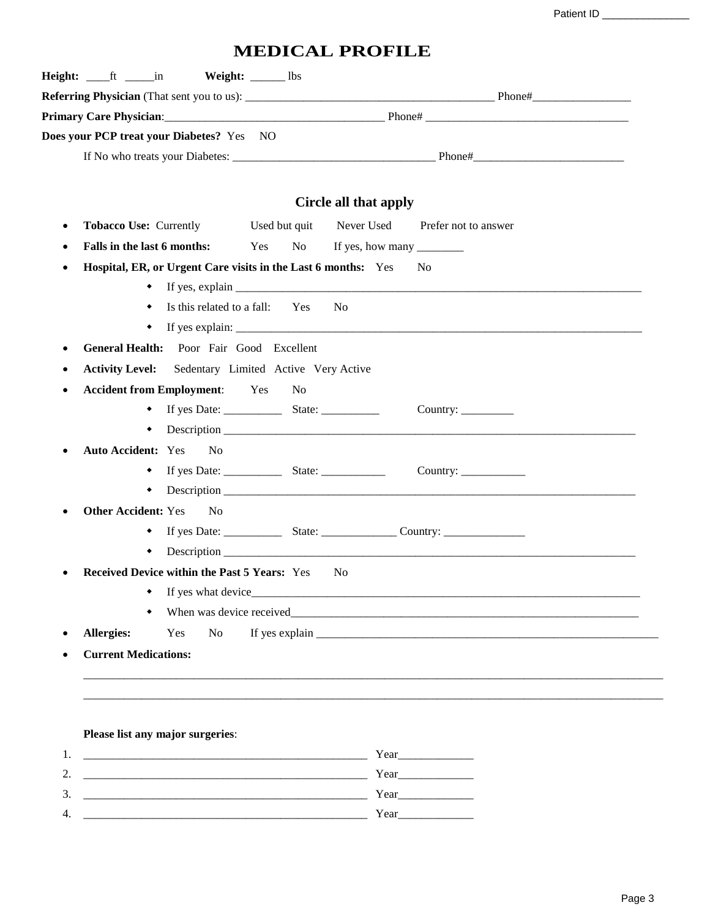Patient ID \_\_\_\_\_\_\_\_\_\_\_\_\_\_\_

## **MEDICAL PROFILE**

| <b>Weight:</b> ______ lbs                                                  |                                    |
|----------------------------------------------------------------------------|------------------------------------|
|                                                                            |                                    |
|                                                                            |                                    |
| Does your PCP treat your Diabetes? Yes NO                                  |                                    |
|                                                                            |                                    |
|                                                                            |                                    |
|                                                                            | Circle all that apply              |
| <b>Tobacco Use: Currently</b><br>Used but quit                             | Never Used<br>Prefer not to answer |
| Falls in the last 6 months:<br>Yes<br>No                                   |                                    |
| Hospital, ER, or Urgent Care visits in the Last 6 months: Yes<br>$\bullet$ | $\overline{\text{No}}$             |
|                                                                            |                                    |
| Is this related to a fall: Yes<br>٠                                        | N <sub>0</sub>                     |
| ٠                                                                          |                                    |
| General Health: Poor Fair Good Excellent<br>٠                              |                                    |
| <b>Activity Level:</b><br>Sedentary Limited Active Very Active             |                                    |
| <b>Accident from Employment:</b> Yes<br>N <sub>o</sub><br>٠                |                                    |
|                                                                            | Country: $\frac{\ }{\ }$           |
| ٠                                                                          |                                    |
| <b>Auto Accident: Yes</b><br>N <sub>o</sub><br>٠                           |                                    |
| ٠                                                                          |                                    |
| ٠                                                                          |                                    |
| <b>Other Accident: Yes</b><br>N <sub>o</sub>                               |                                    |
|                                                                            |                                    |
| ٠                                                                          |                                    |
| <b>Received Device within the Past 5 Years:</b> Yes                        | - No                               |
| If yes what device_                                                        |                                    |
|                                                                            |                                    |
| <b>Allergies:</b><br>Yes<br><b>No</b>                                      |                                    |
| <b>Current Medications:</b>                                                |                                    |
|                                                                            |                                    |
|                                                                            |                                    |
|                                                                            |                                    |
| Please list any major surgeries:                                           |                                    |
| 1.<br>2.                                                                   |                                    |
| 3.                                                                         |                                    |
|                                                                            |                                    |

4. \_\_\_\_\_\_\_\_\_\_\_\_\_\_\_\_\_\_\_\_\_\_\_\_\_\_\_\_\_\_\_\_\_\_\_\_\_\_\_\_\_\_\_\_\_\_\_\_\_ Year\_\_\_\_\_\_\_\_\_\_\_\_\_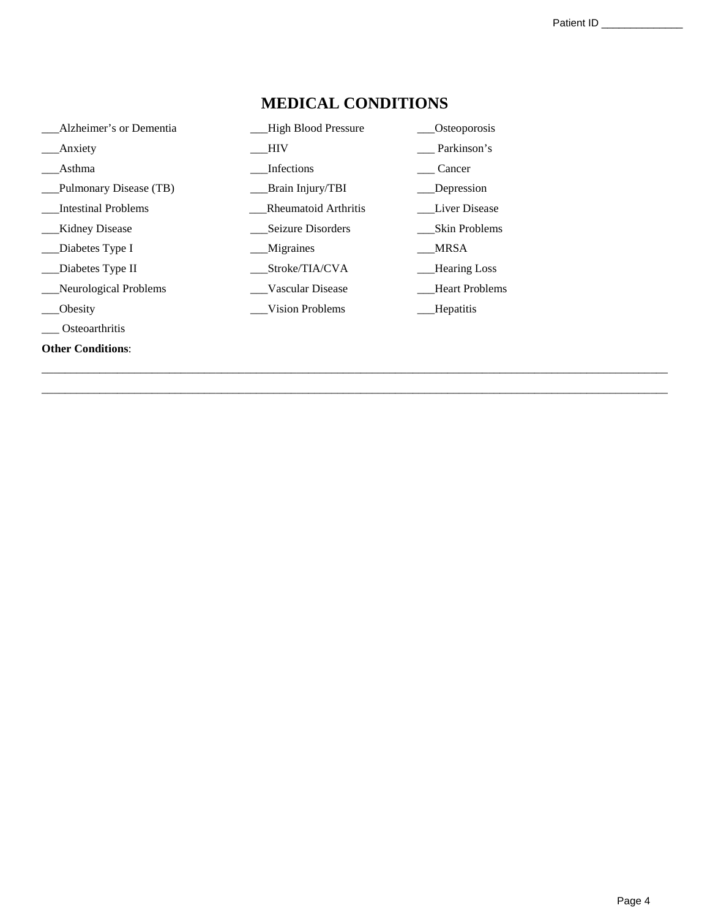| Alzheimer's or Dementia    | <b>High Blood Pressure</b> | Osteoporosis          |
|----------------------------|----------------------------|-----------------------|
| Anxiety                    | HIV                        | Parkinson's           |
| Asthma                     | Infections                 | Cancer                |
| Pulmonary Disease (TB)     | <b>Brain Injury/TBI</b>    | Depression            |
| <b>Intestinal Problems</b> | Rheumatoid Arthritis       | Liver Disease         |
| Kidney Disease             | Seizure Disorders          | <b>Skin Problems</b>  |
| Diabetes Type I            | Migraines                  | <b>MRSA</b>           |
| Diabetes Type II           | Stroke/TIA/CVA             | <b>Hearing Loss</b>   |
| Neurological Problems      | Vascular Disease           | <b>Heart Problems</b> |
| Obesity                    | Vision Problems            | Hepatitis             |
| Osteoarthritis             |                            |                       |
| <b>Other Conditions:</b>   |                            |                       |

## **MEDICAL CONDITIONS**

\_\_\_\_\_\_\_\_\_\_\_\_\_\_\_\_\_\_\_\_\_\_\_\_\_\_\_\_\_\_\_\_\_\_\_\_\_\_\_\_\_\_\_\_\_\_\_\_\_\_\_\_\_\_\_\_\_\_\_\_\_\_\_\_\_\_\_\_\_\_\_\_\_\_\_\_\_\_\_\_\_\_\_\_\_\_\_\_\_\_\_\_\_\_\_\_\_\_\_\_\_\_\_\_\_\_\_\_ \_\_\_\_\_\_\_\_\_\_\_\_\_\_\_\_\_\_\_\_\_\_\_\_\_\_\_\_\_\_\_\_\_\_\_\_\_\_\_\_\_\_\_\_\_\_\_\_\_\_\_\_\_\_\_\_\_\_\_\_\_\_\_\_\_\_\_\_\_\_\_\_\_\_\_\_\_\_\_\_\_\_\_\_\_\_\_\_\_\_\_\_\_\_\_\_\_\_\_\_\_\_\_\_\_\_\_\_